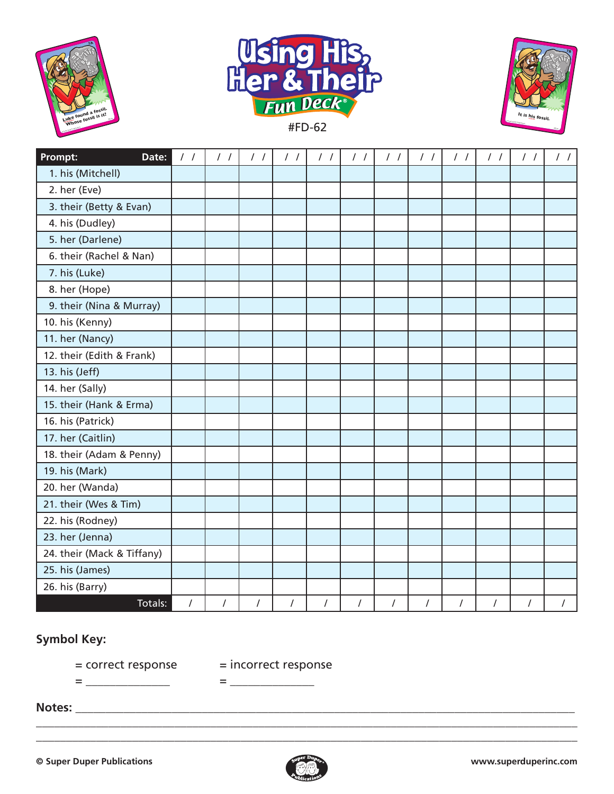





| Prompt:<br>Date:           | $\frac{1}{2}$ | $\frac{1}{2}$ | $\frac{1}{2}$ | $\frac{1}{2}$ | $\frac{1}{2}$  | $\frac{1}{2}$ | $\frac{1}{2}$ | $\frac{1}{2}$ | $\frac{1}{2}$ | $\frac{1}{2}$  | $\frac{1}{2}$ | $\frac{1}{2}$  |
|----------------------------|---------------|---------------|---------------|---------------|----------------|---------------|---------------|---------------|---------------|----------------|---------------|----------------|
| 1. his (Mitchell)          |               |               |               |               |                |               |               |               |               |                |               |                |
| 2. her (Eve)               |               |               |               |               |                |               |               |               |               |                |               |                |
| 3. their (Betty & Evan)    |               |               |               |               |                |               |               |               |               |                |               |                |
| 4. his (Dudley)            |               |               |               |               |                |               |               |               |               |                |               |                |
| 5. her (Darlene)           |               |               |               |               |                |               |               |               |               |                |               |                |
| 6. their (Rachel & Nan)    |               |               |               |               |                |               |               |               |               |                |               |                |
| 7. his (Luke)              |               |               |               |               |                |               |               |               |               |                |               |                |
| 8. her (Hope)              |               |               |               |               |                |               |               |               |               |                |               |                |
| 9. their (Nina & Murray)   |               |               |               |               |                |               |               |               |               |                |               |                |
| 10. his (Kenny)            |               |               |               |               |                |               |               |               |               |                |               |                |
| 11. her (Nancy)            |               |               |               |               |                |               |               |               |               |                |               |                |
| 12. their (Edith & Frank)  |               |               |               |               |                |               |               |               |               |                |               |                |
| 13. his (Jeff)             |               |               |               |               |                |               |               |               |               |                |               |                |
| 14. her (Sally)            |               |               |               |               |                |               |               |               |               |                |               |                |
| 15. their (Hank & Erma)    |               |               |               |               |                |               |               |               |               |                |               |                |
| 16. his (Patrick)          |               |               |               |               |                |               |               |               |               |                |               |                |
| 17. her (Caitlin)          |               |               |               |               |                |               |               |               |               |                |               |                |
| 18. their (Adam & Penny)   |               |               |               |               |                |               |               |               |               |                |               |                |
| 19. his (Mark)             |               |               |               |               |                |               |               |               |               |                |               |                |
| 20. her (Wanda)            |               |               |               |               |                |               |               |               |               |                |               |                |
| 21. their (Wes & Tim)      |               |               |               |               |                |               |               |               |               |                |               |                |
| 22. his (Rodney)           |               |               |               |               |                |               |               |               |               |                |               |                |
| 23. her (Jenna)            |               |               |               |               |                |               |               |               |               |                |               |                |
| 24. their (Mack & Tiffany) |               |               |               |               |                |               |               |               |               |                |               |                |
| 25. his (James)            |               |               |               |               |                |               |               |               |               |                |               |                |
| 26. his (Barry)            |               |               |               |               |                |               |               |               |               |                |               |                |
| Totals:                    | $\prime$      | $\prime$      | $\prime$      | $\sqrt{2}$    | $\overline{I}$ | $\prime$      | $\sqrt{ }$    | $\prime$      | $\prime$      | $\overline{I}$ | $\prime$      | $\overline{I}$ |

## **Symbol Key:**

= correct response = incorrect response

= \_\_\_\_\_\_\_\_\_\_\_\_\_\_ = \_\_\_\_\_\_\_\_\_\_\_\_\_\_

**Notes:** \_\_\_\_\_\_\_\_\_\_\_\_\_\_\_\_\_\_\_\_\_\_\_\_\_\_\_\_\_\_\_\_\_\_\_\_\_\_\_\_\_\_\_\_\_\_\_\_\_\_\_\_\_\_\_\_\_\_\_\_\_\_\_\_\_\_\_\_\_\_\_\_\_\_\_\_\_\_\_\_\_\_\_



\_\_\_\_\_\_\_\_\_\_\_\_\_\_\_\_\_\_\_\_\_\_\_\_\_\_\_\_\_\_\_\_\_\_\_\_\_\_\_\_\_\_\_\_\_\_\_\_\_\_\_\_\_\_\_\_\_\_\_\_\_\_\_\_\_\_\_\_\_\_\_\_\_\_\_\_\_\_\_\_\_\_\_\_\_\_\_\_\_\_ \_\_\_\_\_\_\_\_\_\_\_\_\_\_\_\_\_\_\_\_\_\_\_\_\_\_\_\_\_\_\_\_\_\_\_\_\_\_\_\_\_\_\_\_\_\_\_\_\_\_\_\_\_\_\_\_\_\_\_\_\_\_\_\_\_\_\_\_\_\_\_\_\_\_\_\_\_\_\_\_\_\_\_\_\_\_\_\_\_\_